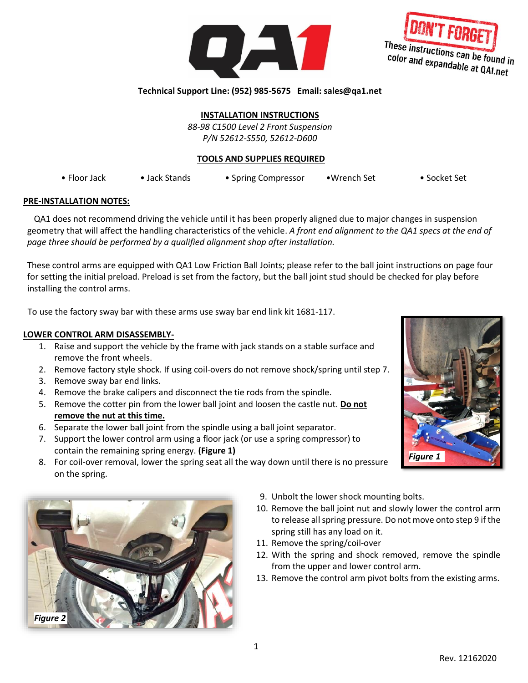



## **Technical Support Line: (952) 985-5675 Email: sales@qa1.net**

**INSTALLATION INSTRUCTIONS**

*88-98 C1500 Level 2 Front Suspension P/N 52612-S550, 52612-D600*

### **TOOLS AND SUPPLIES REQUIRED**

• Floor Jack • Jack Stands • Spring Compressor •Wrench Set • Socket Set

### **PRE-INSTALLATION NOTES:**

QA1 does not recommend driving the vehicle until it has been properly aligned due to major changes in suspension geometry that will affect the handling characteristics of the vehicle. *A front end alignment to the QA1 specs at the end of page three should be performed by a qualified alignment shop after installation.*

These control arms are equipped with QA1 Low Friction Ball Joints; please refer to the ball joint instructions on page four for setting the initial preload. Preload is set from the factory, but the ball joint stud should be checked for play before installing the control arms.

To use the factory sway bar with these arms use sway bar end link kit 1681-117.

### **LOWER CONTROL ARM DISASSEMBLY-**

- 1. Raise and support the vehicle by the frame with jack stands on a stable surface and remove the front wheels.
- 2. Remove factory style shock. If using coil-overs do not remove shock/spring until step 7.
- 3. Remove sway bar end links.
- 4. Remove the brake calipers and disconnect the tie rods from the spindle.
- 5. Remove the cotter pin from the lower ball joint and loosen the castle nut. **Do not remove the nut at this time.**
- 6. Separate the lower ball joint from the spindle using a ball joint separator.
- 7. Support the lower control arm using a floor jack (or use a spring compressor) to contain the remaining spring energy. **(Figure 1)**
- 8. For coil-over removal, lower the spring seat all the way down until there is no pressure on the spring.



- 9. Unbolt the lower shock mounting bolts.
- 10. Remove the ball joint nut and slowly lower the control arm to release all spring pressure. Do not move onto step 9 if the spring still has any load on it.
- 11. Remove the spring/coil-over
- 12. With the spring and shock removed, remove the spindle from the upper and lower control arm.
- 13. Remove the control arm pivot bolts from the existing arms.

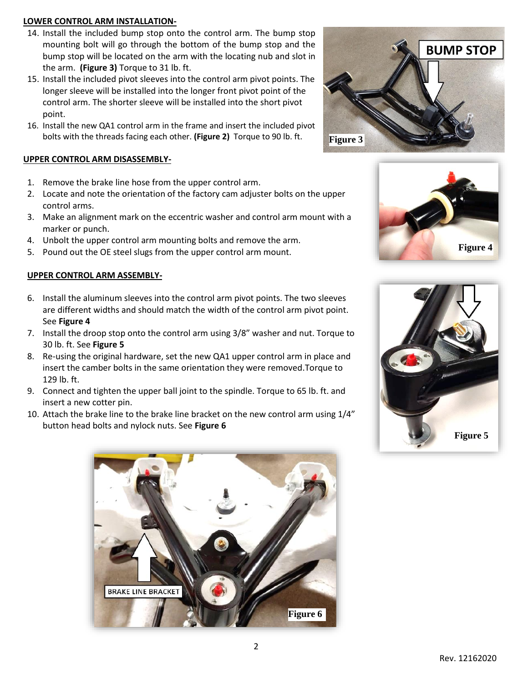## **LOWER CONTROL ARM INSTALLATION-**

- 14. Install the included bump stop onto the control arm. The bump stop mounting bolt will go through the bottom of the bump stop and the bump stop will be located on the arm with the locating nub and slot in the arm. **(Figure 3)** Torque to 31 lb. ft.
- 15. Install the included pivot sleeves into the control arm pivot points. The longer sleeve will be installed into the longer front pivot point of the control arm. The shorter sleeve will be installed into the short pivot point.
- 16. Install the new QA1 control arm in the frame and insert the included pivot bolts with the threads facing each other. **(Figure 2)** Torque to 90 lb. ft.

# **UPPER CONTROL ARM DISASSEMBLY-**

- 1. Remove the brake line hose from the upper control arm.
- 2. Locate and note the orientation of the factory cam adjuster bolts on the upper control arms.
- 3. Make an alignment mark on the eccentric washer and control arm mount with a marker or punch.
- 4. Unbolt the upper control arm mounting bolts and remove the arm.
- 5. Pound out the OE steel slugs from the upper control arm mount.

# **UPPER CONTROL ARM ASSEMBLY-**

- 6. Install the aluminum sleeves into the control arm pivot points. The two sleeves are different widths and should match the width of the control arm pivot point. See **Figure 4**
- 7. Install the droop stop onto the control arm using 3/8" washer and nut. Torque to 30 lb. ft. See **Figure 5**
- 8. Re-using the original hardware, set the new QA1 upper control arm in place and insert the camber bolts in the same orientation they were removed.Torque to 129 lb. ft.
- 9. Connect and tighten the upper ball joint to the spindle. Torque to 65 lb. ft. and insert a new cotter pin.
- 10. Attach the brake line to the brake line bracket on the new control arm using 1/4" button head bolts and nylock nuts. See **Figure 6**







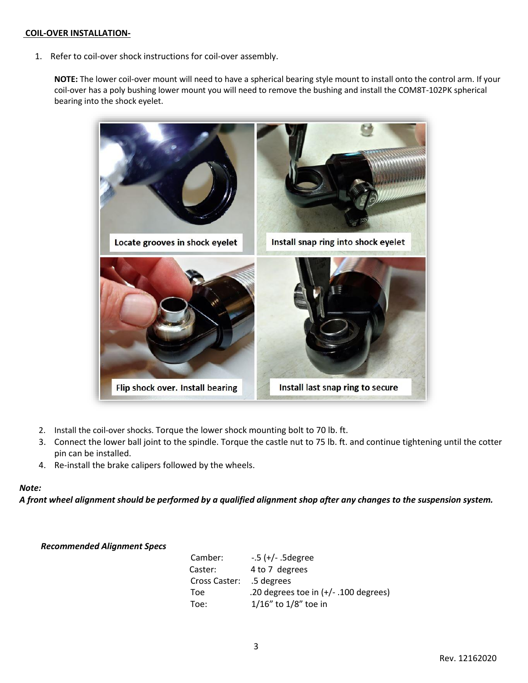### **COIL-OVER INSTALLATION-**

1. Refer to coil-over shock instructions for coil-over assembly.

**NOTE:** The lower coil-over mount will need to have a spherical bearing style mount to install onto the control arm. If your coil-over has a poly bushing lower mount you will need to remove the bushing and install the COM8T-102PK spherical bearing into the shock eyelet.



- 2. Install the coil-over shocks. Torque the lower shock mounting bolt to 70 lb. ft.
- 3. Connect the lower ball joint to the spindle. Torque the castle nut to 75 lb. ft. and continue tightening until the cotter pin can be installed.
- 4. Re-install the brake calipers followed by the wheels.

### *Note:*

*A front wheel alignment should be performed by a qualified alignment shop after any changes to the suspension system.*

#### *Recommended Alignment Specs*

| Camber:                  | $-5$ (+/- $.5$ degree                   |
|--------------------------|-----------------------------------------|
| Caster:                  | 4 to 7 degrees                          |
| Cross Caster: .5 degrees |                                         |
| Toe                      | .20 degrees toe in $(+/- .100$ degrees) |
| Toe:                     | $1/16''$ to $1/8''$ toe in              |
|                          |                                         |